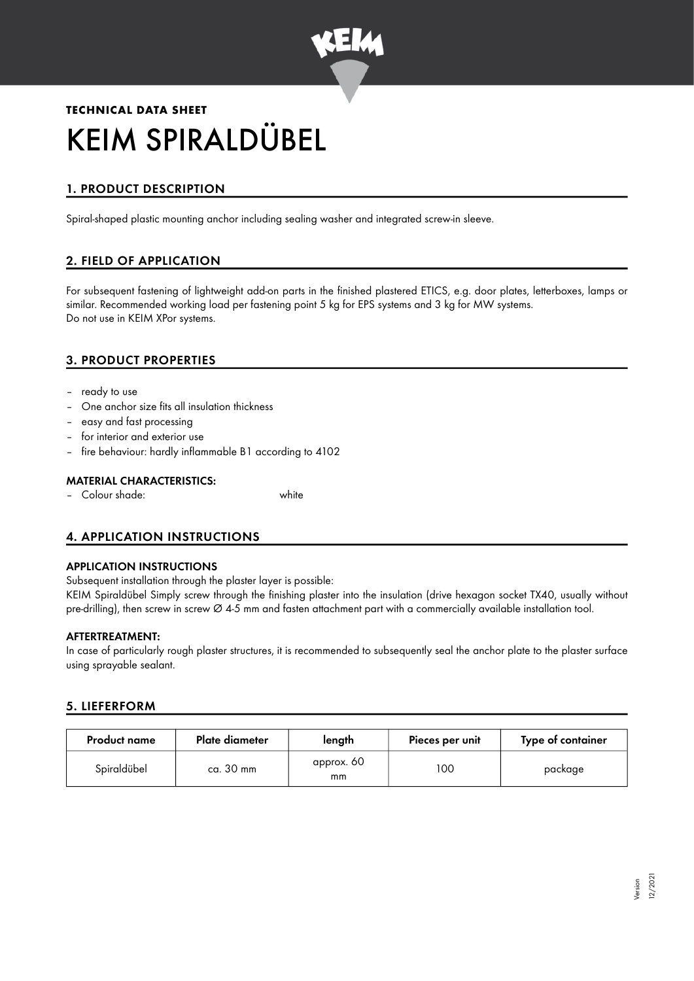

# **TECHNICAL DATA SHEET** KEIM SPIRALDÜBEL

# 1. PRODUCT DESCRIPTION

Spiral-shaped plastic mounting anchor including sealing washer and integrated screw-in sleeve.

# 2. FIELD OF APPLICATION

For subsequent fastening of lightweight add-on parts in the finished plastered ETICS, e.g. door plates, letterboxes, lamps or similar. Recommended working load per fastening point 5 kg for EPS systems and 3 kg for MW systems. Do not use in KEIM XPor systems.

## 3. PRODUCT PROPERTIES

- ready to use
- One anchor size fits all insulation thickness
- easy and fast processing
- for interior and exterior use
- fire behaviour: hardly inflammable B1 according to 4102

#### MATERIAL CHARACTERISTICS:

– Colour shade: white

## 4. APPLICATION INSTRUCTIONS

#### APPLICATION INSTRUCTIONS

Subsequent installation through the plaster layer is possible:

KEIM Spiraldübel Simply screw through the finishing plaster into the insulation (drive hexagon socket TX40, usually without pre-drilling), then screw in screw  $\varnothing$  4-5 mm and fasten attachment part with a commercially available installation tool.

#### AFTERTREATMENT:

In case of particularly rough plaster structures, it is recommended to subsequently seal the anchor plate to the plaster surface using sprayable sealant.

#### 5. LIEFERFORM

| <b>Product name</b> | Plate diameter | length           | Pieces per unit | Type of container |
|---------------------|----------------|------------------|-----------------|-------------------|
| Spiraldübel         | ca. 30 mm      | approx. 60<br>mm | 100             | package           |